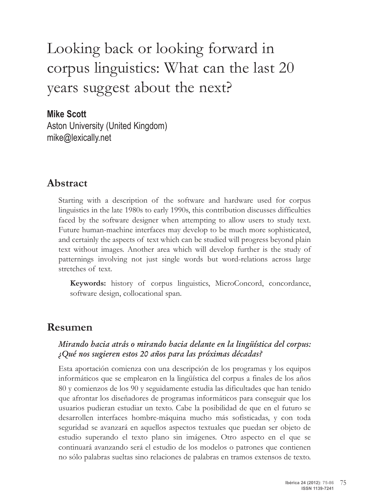# Looking back or looking forward in corpus linguistics: What can the last 20 years suggest about the next?

#### **Mike Scott**

Aston University (United Kingdom) mike@lexically.net

### **Abstract**

Starting with a description of the software and hardware used for corpus linguistics in the late 1980s to early 1990s, this contribution discusses difficulties faced by the software designer when attempting to allow users to study text. Future human-machine interfaces may develop to be much more sophisticated, and certainly the aspects of text which can be studied will progress beyond plain text without images. Another area which will develop further is the study of patternings involving not just single words but word-relations across large stretches of text.

**Keywords:** history of corpus linguistics, MicroConcord, concordance, software design, collocational span.

### **Resumen**

#### **Mirando hacia atrás o mirando hacia delante en la lingüística del corpus: ¿Qué nos sugieren estos 20 años para las próximas décadas?**

Esta aportación comienza con una descripción de los programas y los equipos informáticos que se emplearon en la lingüística del corpus a finales de los años 80 y comienzos de los 90 y seguidamente estudia las dificultades que han tenido que afrontar los diseñadores de programas informáticos para conseguir que los usuarios pudieran estudiar un texto. Cabe la posibilidad de que en el futuro se desarrollen interfaces hombre-máquina mucho más sofisticadas, y con toda seguridad se avanzará en aquellos aspectos textuales que puedan ser objeto de estudio superando el texto plano sin imágenes. Otro aspecto en el que se continuará avanzando será el estudio de los modelos o patrones que contienen no sólo palabras sueltas sino relaciones de palabras en tramos extensos de texto.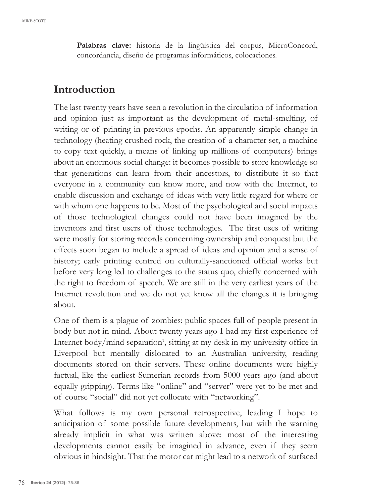**Palabras clave:** historia de la lingüística del corpus, MicroConcord, concordancia, diseño de programas informáticos, colocaciones.

### **Introduction**

The last twenty years have seen a revolution in the circulation of information and opinion just as important as the development of metal-smelting, of writing or of printing in previous epochs. An apparently simple change in technology (heating crushed rock, the creation of a character set, a machine to copy text quickly, a means of linking up millions of computers) brings about an enormous social change: it becomes possible to store knowledge so that generations can learn from their ancestors, to distribute it so that everyone in a community can know more, and now with the Internet, to enable discussion and exchange of ideas with very little regard for where or with whom one happens to be. Most of the psychological and social impacts of those technological changes could not have been imagined by the inventors and first users of those technologies. The first uses of writing were mostly for storing records concerning ownership and conquest but the effects soon began to include a spread of ideas and opinion and a sense of history; early printing centred on culturally-sanctioned official works but before very long led to challenges to the status quo, chiefly concerned with the right to freedom of speech. We are still in the very earliest years of the Internet revolution and we do not yet know all the changes it is bringing about.

One of them is a plague of zombies: public spaces full of people present in body but not in mind. About twenty years ago I had my first experience of Internet body/mind separation<sup>1</sup>, sitting at my desk in my university office in Liverpool but mentally dislocated to an Australian university, reading documents stored on their servers. These online documents were highly factual, like the earliest Sumerian records from 5000 years ago (and about equally gripping). Terms like "online" and "server" were yet to be met and of course "social" did not yet collocate with "networking".

What follows is my own personal retrospective, leading I hope to anticipation of some possible future developments, but with the warning already implicit in what was written above: most of the interesting developments cannot easily be imagined in advance, even if they seem obvious in hindsight. That the motor car might lead to a network of surfaced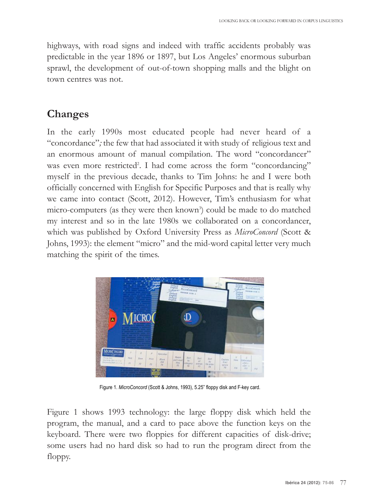highways, with road signs and indeed with traffic accidents probably was predictable in the year 1896 or 1897, but Los Angeles' enormous suburban sprawl, the development of out-of-town shopping malls and the blight on town centres was not.

## **Changes**

In the early 1990s most educated people had never heard of a "concordance"*;* the few that had associated it with study of religious text and an enormous amount of manual compilation. The word "concordancer" was even more restricted<sup>2</sup>. I had come across the form "concordancing" myself in the previous decade, thanks to Tim Johns: he and I were both officially concerned with English for Specific purposes and that is really why we came into contact (Scott, 2012). However, Tim's enthusiasm for what micro-computers (as they were then known<sup>3</sup>) could be made to do matched my interest and so in the late 1980s we collaborated on a concordancer, which was published by Oxford University Press as *MicroConcord* (Scott & Johns, 1993): the element "micro" and the mid-word capital letter very much matching the spirit of the times.



Figure 1. *MicroConcord* (Scott & Johns, 1993), 5.25" floppy disk and F-key card.

Figure 1 shows 1993 technology: the large floppy disk which held the program, the manual, and a card to pace above the function keys on the keyboard. There were two floppies for different capacities of disk-drive; some users had no hard disk so had to run the program direct from the floppy.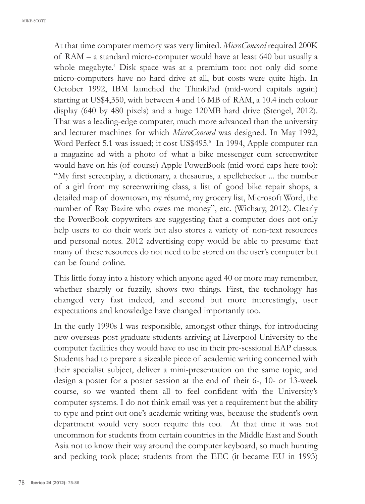MIkE SCOTT

At that time computer memory was very limited. *MicroConcord* required 200k of RAM – a standard micro-computer would have at least 640 but usually a whole megabyte.<sup>4</sup> Disk space was at a premium too: not only did some micro-computers have no hard drive at all, but costs were quite high. In October 1992, IBM launched the ThinkPad (mid-word capitals again) starting at US\$4,350, with between 4 and 16 MB of RAM, a 10.4 inch colour display (640 by 480 pixels) and a huge 120MB hard drive (Stengel, 2012). That was a leading-edge computer, much more advanced than the university and lecturer machines for which *MicroConcord* was designed. In May 1992, Word Perfect 5.1 was issued; it cost US\$495.<sup>5</sup> In 1994, Apple computer ran a magazine ad with a photo of what a bike messenger cum screenwriter would have on his (of course) Apple powerbook (mid-word caps here too): "My first screenplay, a dictionary, a thesaurus, a spellchecker ... the number of a girl from my screenwriting class, a list of good bike repair shops, a detailed map of downtown, my résumé, my grocery list, Microsoft Word, the number of Ray Bazire who owes me money", etc. (Wichary, 2012). Clearly the PowerBook copywriters are suggesting that a computer does not only help users to do their work but also stores a variety of non-text resources and personal notes. 2012 advertising copy would be able to presume that many of these resources do not need to be stored on the user's computer but can be found online.

This little foray into a history which anyone aged 40 or more may remember, whether sharply or fuzzily, shows two things. First, the technology has changed very fast indeed, and second but more interestingly, user expectations and knowledge have changed importantly too.

In the early 1990s I was responsible, amongst other things, for introducing new overseas post-graduate students arriving at Liverpool University to the computer facilities they would have to use in their pre-sessional EAp classes. Students had to prepare a sizeable piece of academic writing concerned with their specialist subject, deliver a mini-presentation on the same topic, and design a poster for a poster session at the end of their 6-, 10- or 13-week course, so we wanted them all to feel confident with the University's computer systems. I do not think email was yet a requirement but the ability to type and print out one's academic writing was, because the student's own department would very soon require this too. At that time it was not uncommon for students from certain countries in the Middle East and South Asia not to know their way around the computer keyboard, so much hunting and pecking took place; students from the EEC (it became EU in 1993)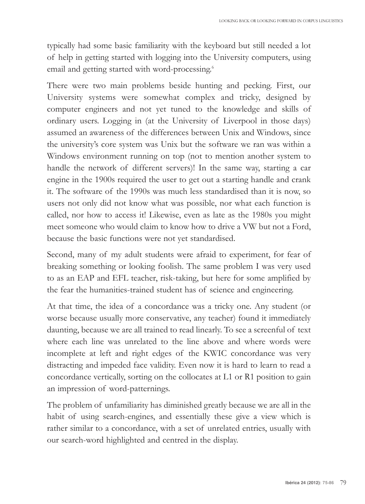typically had some basic familiarity with the keyboard but still needed a lot of help in getting started with logging into the University computers, using email and getting started with word-processing. 6

There were two main problems beside hunting and pecking. First, our University systems were somewhat complex and tricky, designed by computer engineers and not yet tuned to the knowledge and skills of ordinary users. Logging in (at the University of Liverpool in those days) assumed an awareness of the differences between Unix and Windows, since the university's core system was Unix but the software we ran was within a Windows environment running on top (not to mention another system to handle the network of different servers)! In the same way, starting a car engine in the 1900s required the user to get out a starting handle and crank it. The software of the 1990s was much less standardised than it is now, so users not only did not know what was possible, nor what each function is called, nor how to access it! Likewise, even as late as the 1980s you might meet someone who would claim to know how to drive a VW but not a Ford, because the basic functions were not yet standardised.

Second, many of my adult students were afraid to experiment, for fear of breaking something or looking foolish. The same problem I was very used to as an EAp and EFL teacher, risk-taking, but here for some amplified by the fear the humanities-trained student has of science and engineering.

At that time, the idea of a concordance was a tricky one. Any student (or worse because usually more conservative, any teacher) found it immediately daunting, because we are all trained to read linearly. To see a screenful of text where each line was unrelated to the line above and where words were incomplete at left and right edges of the kWIC concordance was very distracting and impeded face validity. Even now it is hard to learn to read a concordance vertically, sorting on the collocates at L1 or R1 position to gain an impression of word-patternings.

The problem of unfamiliarity has diminished greatly because we are all in the habit of using search-engines, and essentially these give a view which is rather similar to a concordance, with a set of unrelated entries, usually with our search-word highlighted and centred in the display.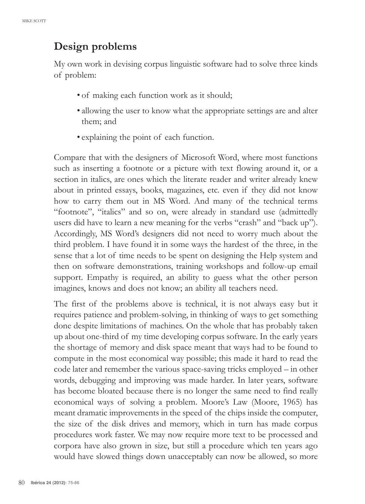### **Design problems**

My own work in devising corpus linguistic software had to solve three kinds of problem:

- of making each function work as it should;
- allowing the user to know what the appropriate settings are and alter them; and
- explaining the point of each function.

Compare that with the designers of Microsoft Word, where most functions such as inserting a footnote or a picture with text flowing around it, or a section in italics, are ones which the literate reader and writer already knew about in printed essays, books, magazines, etc. even if they did not know how to carry them out in MS Word. And many of the technical terms "footnote", "italics" and so on, were already in standard use (admittedly users did have to learn a new meaning for the verbs "crash" and "back up"). Accordingly, MS Word's designers did not need to worry much about the third problem. I have found it in some ways the hardest of the three, in the sense that a lot of time needs to be spent on designing the Help system and then on software demonstrations, training workshops and follow-up email support. Empathy is required, an ability to guess what the other person imagines, knows and does not know; an ability all teachers need.

The first of the problems above is technical, it is not always easy but it requires patience and problem-solving, in thinking of ways to get something done despite limitations of machines. On the whole that has probably taken up about one-third of my time developing corpus software. In the early years the shortage of memory and disk space meant that ways had to be found to compute in the most economical way possible; this made it hard to read the code later and remember the various space-saving tricks employed – in other words, debugging and improving was made harder. In later years, software has become bloated because there is no longer the same need to find really economical ways of solving a problem. Moore's Law (Moore, 1965) has meant dramatic improvements in the speed of the chips inside the computer, the size of the disk drives and memory, which in turn has made corpus procedures work faster. We may now require more text to be processed and corpora have also grown in size, but still a procedure which ten years ago would have slowed things down unacceptably can now be allowed, so more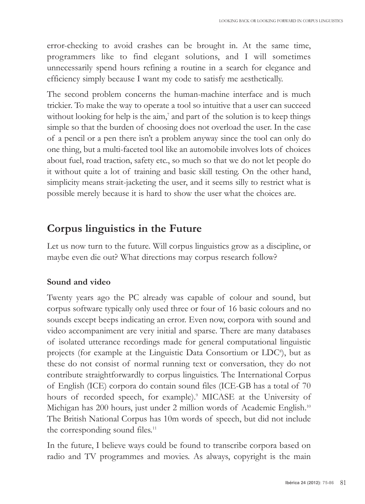error-checking to avoid crashes can be brought in. At the same time, programmers like to find elegant solutions, and I will sometimes unnecessarily spend hours refining a routine in a search for elegance and efficiency simply because I want my code to satisfy me aesthetically.

The second problem concerns the human-machine interface and is much trickier. To make the way to operate a tool so intuitive that a user can succeed without looking for help is the aim, <sup>7</sup> and part of the solution is to keep things simple so that the burden of choosing does not overload the user. In the case of a pencil or a pen there isn't a problem anyway since the tool can only do one thing, but a multi-faceted tool like an automobile involves lots of choices about fuel, road traction, safety etc., so much so that we do not let people do it without quite a lot of training and basic skill testing. On the other hand, simplicity means strait-jacketing the user, and it seems silly to restrict what is possible merely because it is hard to show the user what the choices are.

### **Corpus linguistics in the Future**

Let us now turn to the future. Will corpus linguistics grow as a discipline, or maybe even die out? What directions may corpus research follow?

#### **Sound and video**

Twenty years ago the pC already was capable of colour and sound, but corpus software typically only used three or four of 16 basic colours and no sounds except beeps indicating an error. Even now, corpora with sound and video accompaniment are very initial and sparse. There are many databases of isolated utterance recordings made for general computational linguistic projects (for example at the Linguistic Data Consortium or LDC<sup>8</sup>), but as these do not consist of normal running text or conversation, they do not contribute straightforwardly to corpus linguistics. The International Corpus of English (ICE) corpora do contain sound files (ICE-GB has a total of 70 hours of recorded speech, for example).<sup>9</sup> MICASE at the University of Michigan has 200 hours, just under 2 million words of Academic English.<sup>10</sup> The British National Corpus has 10m words of speech, but did not include the corresponding sound files.<sup>11</sup>

In the future, I believe ways could be found to transcribe corpora based on radio and TV programmes and movies. As always, copyright is the main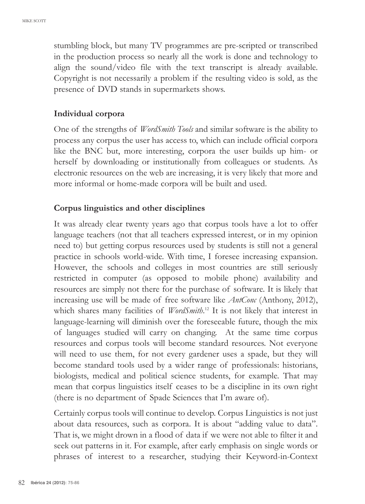stumbling block, but many TV programmes are pre-scripted or transcribed in the production process so nearly all the work is done and technology to align the sound/video file with the text transcript is already available. Copyright is not necessarily a problem if the resulting video is sold, as the presence of DVD stands in supermarkets shows.

#### **Individual corpora**

One of the strengths of *WordSmith Tools* and similar software is the ability to process any corpus the user has access to, which can include official corpora like the bnC but, more interesting, corpora the user builds up him- or herself by downloading or institutionally from colleagues or students. As electronic resources on the web are increasing, it is very likely that more and more informal or home-made corpora will be built and used.

#### **Corpus linguistics and other disciplines**

It was already clear twenty years ago that corpus tools have a lot to offer language teachers (not that all teachers expressed interest, or in my opinion need to) but getting corpus resources used by students is still not a general practice in schools world-wide. With time, I foresee increasing expansion. However, the schools and colleges in most countries are still seriously restricted in computer (as opposed to mobile phone) availability and resources are simply not there for the purchase of software. It is likely that increasing use will be made of free software like *AntConc* (Anthony, 2012), which shares many facilities of *WordSmith*. <sup>12</sup> It is not likely that interest in language-learning will diminish over the foreseeable future, though the mix of languages studied will carry on changing. At the same time corpus resources and corpus tools will become standard resources. not everyone will need to use them, for not every gardener uses a spade, but they will become standard tools used by a wider range of professionals: historians, biologists, medical and political science students, for example. That may mean that corpus linguistics itself ceases to be a discipline in its own right (there is no department of Spade Sciences that I'm aware of).

Certainly corpus tools will continue to develop. Corpus Linguistics is not just about data resources, such as corpora. It is about "adding value to data". That is, we might drown in a flood of data if we were not able to filter it and seek out patterns in it. For example, after early emphasis on single words or phrases of interest to a researcher, studying their keyword-in-Context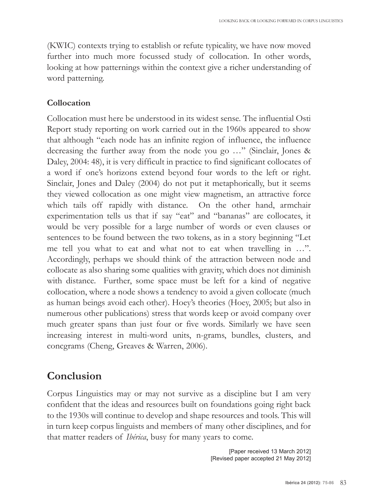(kWIC) contexts trying to establish or refute typicality, we have now moved further into much more focussed study of collocation. In other words, looking at how patternings within the context give a richer understanding of word patterning.

#### **Collocation**

Collocation must here be understood in its widest sense. The influential Osti Report study reporting on work carried out in the 1960s appeared to show that although "each node has an infinite region of influence, the influence decreasing the further away from the node you go …" (Sinclair, Jones & Daley, 2004: 48), it is very difficult in practice to find significant collocates of a word if one's horizons extend beyond four words to the left or right. Sinclair, Jones and Daley (2004) do not put it metaphorically, but it seems they viewed collocation as one might view magnetism, an attractive force which tails off rapidly with distance. On the other hand, armchair experimentation tells us that if say "eat" and "bananas" are collocates, it would be very possible for a large number of words or even clauses or sentences to be found between the two tokens, as in a story beginning "Let me tell you what to eat and what not to eat when travelling in …". Accordingly, perhaps we should think of the attraction between node and collocate as also sharing some qualities with gravity, which does not diminish with distance. Further, some space must be left for a kind of negative collocation, where a node shows a tendency to avoid a given collocate (much as human beings avoid each other). Hoey's theories (Hoey, 2005; but also in numerous other publications) stress that words keep or avoid company over much greater spans than just four or five words. Similarly we have seen increasing interest in multi-word units, n-grams, bundles, clusters, and concgrams (Cheng, Greaves & Warren, 2006).

### **Conclusion**

Corpus Linguistics may or may not survive as a discipline but I am very confident that the ideas and resources built on foundations going right back to the 1930s will continue to develop and shape resources and tools. This will in turn keep corpus linguists and members of many other disciplines, and for that matter readers of *Ibérica*, busy for many years to come.

> [Paper received 13 March 2012] [Revised paper accepted 21 May 2012]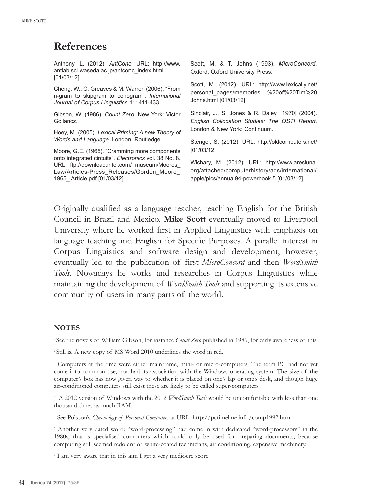### **References**

Anthony, L. (2012). *AntConc*. URL: http://www. antlab.sci.waseda.ac.jp/antconc\_index.html [01/03/12]

Cheng, W., C. Greaves & M. Warren (2006). "From n-gram to skipgram to concgram". *International Journal of Corpus Linguistics* 11: 411-433.

Gibson, W. (1986). *Count Zero*. New York: Victor Gollancz.

Hoey, M. (2005). *Lexical Priming: A new Theory of Words and Language*. London: Routledge.

Moore, G.E. (1965). "Cramming more components onto integrated circuits". *Electronics* vol. 38 No. 8. URL: ftp://download.intel.com/ museum/Moores\_ Law/Articles-Press\_Releases/Gordon\_Moore\_ 1965\_ Article.pdf [01/03/12]

Scott, M. & T. Johns (1993). *MicroConcord.* Oxford: Oxford University Press.

Scott, M. (2012). URL: http://www.lexically.net/ personal\_pages/memories %20of%20Tim%20 Johns.html [01/03/12]

Sinclair, J., S. Jones & R. Daley. [1970] (2004). *English Collocation Studies: The OSTI Report*. London & New York: Continuum.

Stengel, S. (2012). URL: http://oldcomputers.net/ [01/03/12]

Wichary, M. (2012). URL: http://www.aresluna. org/attached/computerhistory/ads/international/ apple/pics/annual94-powerbook 5 [01/03/12]

Originally qualified as a language teacher, teaching English for the british Council in brazil and Mexico, **Mike Scott** eventually moved to Liverpool University where he worked first in Applied Linguistics with emphasis on language teaching and English for Specific Purposes. A parallel interest in Corpus Linguistics and software design and development, however, eventually led to the publication of first *MicroConcord* and then *WordSmith* Tools. Nowadays he works and researches in Corpus Linguistics while maintaining the development of *WordSmith Tools* and supporting its extensive community of users in many parts of the world.

#### **NoteS**

<sup>i</sup> See the novels of William Gibson, for instance *Count Zero* published in 1986, for early awareness of this.

<sup>2</sup> Still is. A new copy of MS Word 2010 underlines the word in red.

<sup>3</sup> Computers at the time were either mainframe, mini- or micro-computers. The term PC had not yet come into common use, nor had its association with the Windows operating system. The size of the computer's box has now given way to whether it is placed on one's lap or one's desk, and though huge air-conditioned computers still exist these are likely to be called super-computers.

<sup>4</sup> A 2012 version of Windows with the 2012 *WordSmith Tools* would be uncomfortable with less than one thousand times as much RAM.

<sup>5</sup> See Polsson's *Chronology of Personal Computers* at URL: http://pctimeline.info/comp1992.htm

<sup>6</sup> Another very dated word: "word-processing" had come in with dedicated "word-processors" in the 1980s, that is specialised computers which could only be used for preparing documents, because computing still seemed redolent of white-coated technicians, air conditioning, expensive machinery.

<sup>7</sup> I am very aware that in this aim I get a very mediocre score!